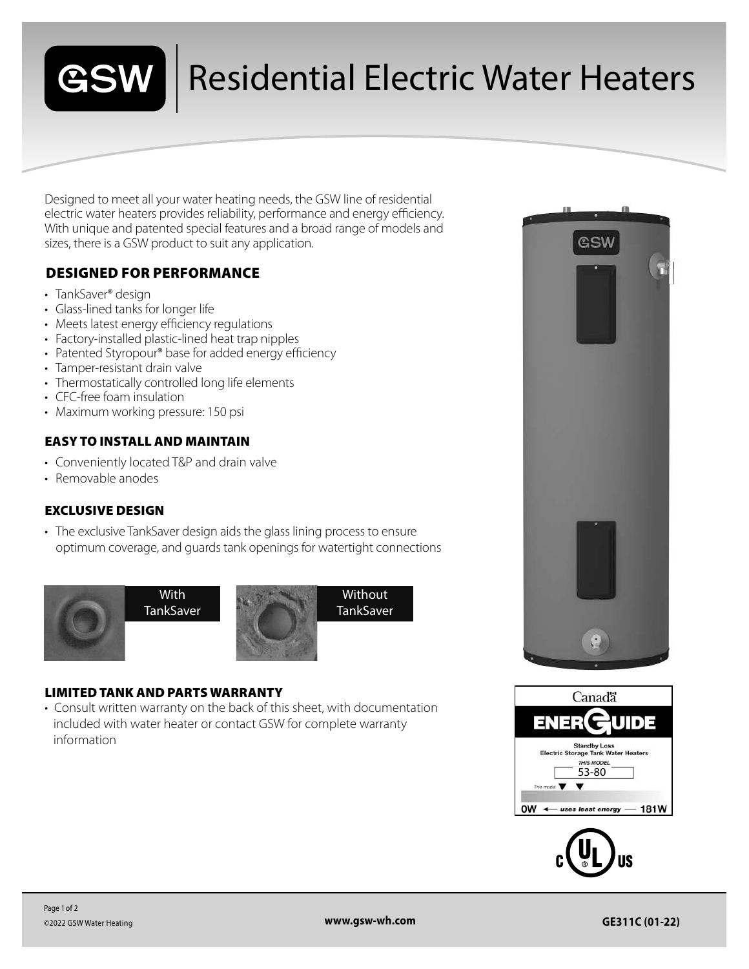

## Residential Electric Water Heaters

Designed to meet all your water heating needs, the GSW line of residential electric water heaters provides reliability, performance and energy efficiency. With unique and patented special features and a broad range of models and sizes, there is a GSW product to suit any application.

### DESIGNED FOR PERFORMANCE

- TankSaver<sup>®</sup> design
- Glass-lined tanks for longer life
- Meets latest energy efficiency regulations
- Factory-installed plastic-lined heat trap nipples
- Patented Styropour® base for added energy efficiency
- Tamper-resistant drain valve
- Thermostatically controlled long life elements
- CFC-free foam insulation
- Maximum working pressure: 150 psi

#### EASY TO INSTALL AND MAINTAIN

- Conveniently located T&P and drain valve
- Removable anodes

#### EXCLUSIVE DESIGN

• The exclusive TankSaver design aids the glass lining process to ensure optimum coverage, and guards tank openings for watertight connections



#### LIMITED TANK AND PARTS WARRANTY

• Consult written warranty on the back of this sheet, with documentation included with water heater or contact GSW for complete warranty information